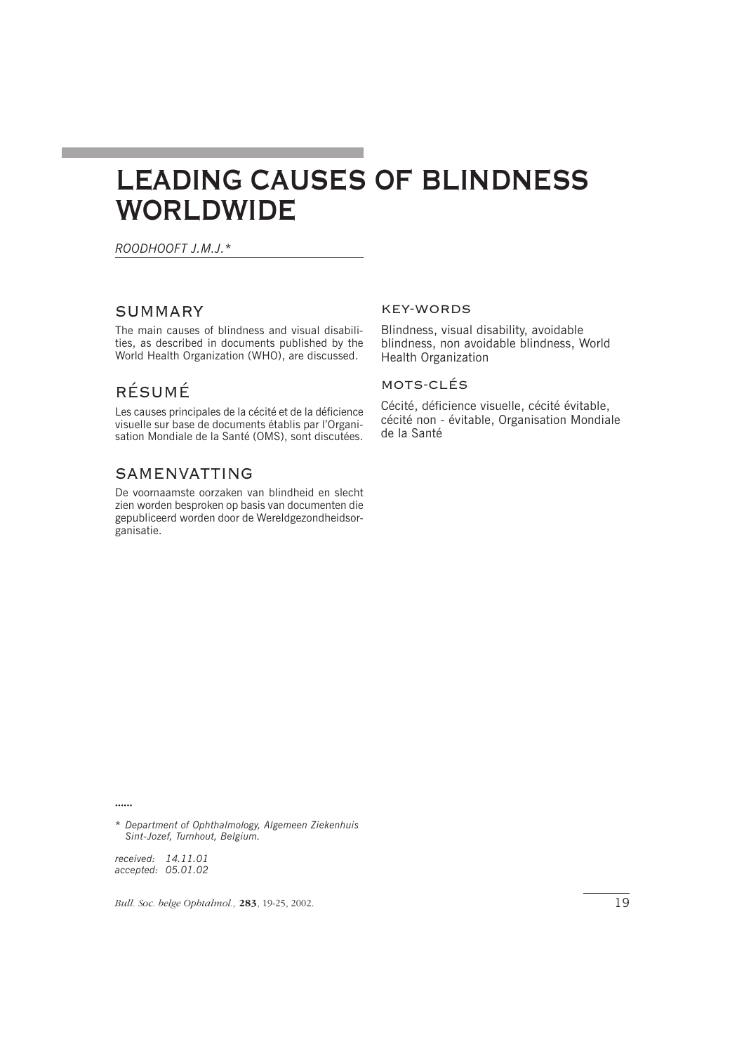# **LEADING CAUSES OF BLINDNESS WORLDWIDE**

*ROODHOOFT J.M.J.\**

### SUMMARY

The main causes of blindness and visual disabilities, as described in documents published by the World Health Organization (WHO), are discussed.

# RÉSUMÉ

Les causes principales de la cécité et de la déficience visuelle sur base de documents établis par l'Organisation Mondiale de la Santé (OMS), sont discutées.

## SAMENVATTING

De voornaamste oorzaken van blindheid en slecht zien worden besproken op basis van documenten die gepubliceerd worden door de Wereldgezondheidsorganisatie.

#### KEY-WORDS

Blindness, visual disability, avoidable blindness, non avoidable blindness, World Health Organization

#### MOTS-CLÉS

Cécité, déficience visuelle, cécité évitable, cécité non - évitable, Organisation Mondiale de la Santé

zzzzzz

*\* Department of Ophthalmology, Algemeen Ziekenhuis Sint-Jozef, Turnhout, Belgium.*

*received: 14.11.01 accepted: 05.01.02*

*Bull. Soc. belge Ophtalmol.*, **283**, 19-25, 2002. 19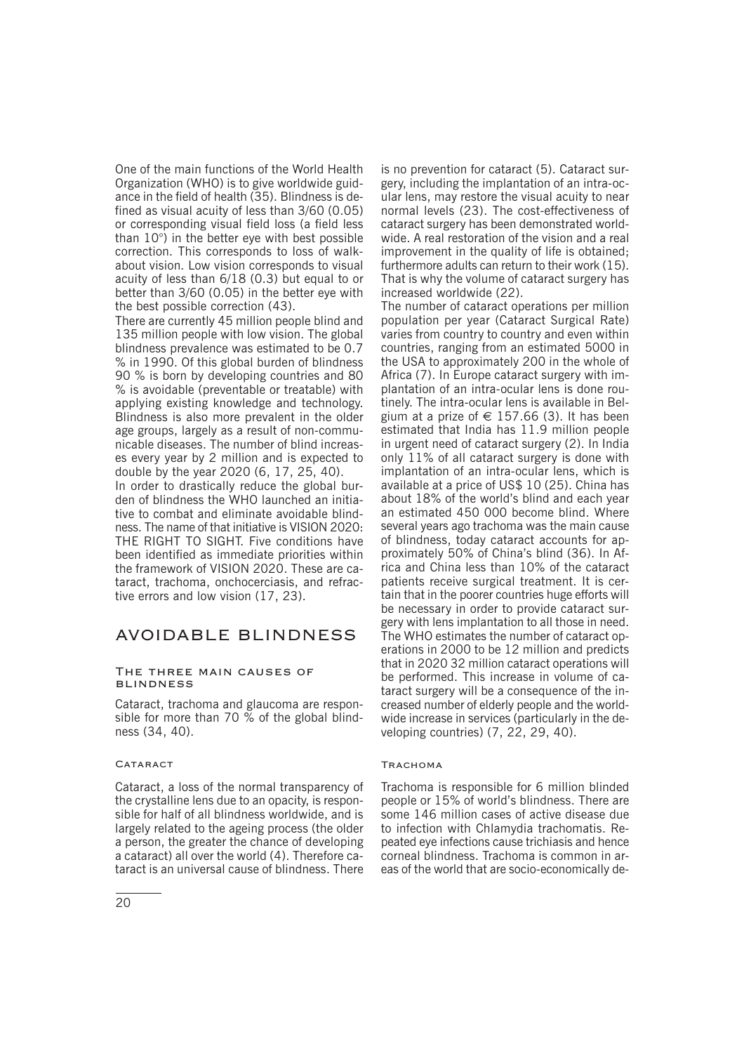One of the main functions of the World Health Organization (WHO) is to give worldwide guidance in the field of health (35). Blindness is defined as visual acuity of less than 3/60 (0.05) or corresponding visual field loss (a field less than 10°) in the better eye with best possible correction. This corresponds to loss of walkabout vision. Low vision corresponds to visual acuity of less than 6/18 (0.3) but equal to or better than 3/60 (0.05) in the better eye with the best possible correction (43).

There are currently 45 million people blind and 135 million people with low vision. The global blindness prevalence was estimated to be 0.7 % in 1990. Of this global burden of blindness 90 % is born by developing countries and 80 % is avoidable (preventable or treatable) with applying existing knowledge and technology. Blindness is also more prevalent in the older age groups, largely as a result of non-communicable diseases. The number of blind increases every year by 2 million and is expected to double by the year 2020 (6, 17, 25, 40).

In order to drastically reduce the global burden of blindness the WHO launched an initiative to combat and eliminate avoidable blindness. The name of that initiative is VISION 2020: THE RIGHT TO SIGHT. Five conditions have been identified as immediate priorities within the framework of VISION 2020. These are cataract, trachoma, onchocerciasis, and refractive errors and low vision (17, 23).

# AVOIDABLE BLINDNESS

#### The three main causes of **BLINDNESS**

Cataract, trachoma and glaucoma are responsible for more than 70  $\%$  of the global blindness (34, 40).

#### CATARACT

Cataract, a loss of the normal transparency of the crystalline lens due to an opacity, is responsible for half of all blindness worldwide, and is largely related to the ageing process (the older a person, the greater the chance of developing a cataract) all over the world (4). Therefore cataract is an universal cause of blindness. There

is no prevention for cataract (5). Cataract surgery, including the implantation of an intra-ocular lens, may restore the visual acuity to near normal levels (23). The cost-effectiveness of cataract surgery has been demonstrated worldwide. A real restoration of the vision and a real improvement in the quality of life is obtained; furthermore adults can return to their work (15). That is why the volume of cataract surgery has increased worldwide (22).

The number of cataract operations per million population per year (Cataract Surgical Rate) varies from country to country and even within countries, ranging from an estimated 5000 in the USA to approximately 200 in the whole of Africa (7). In Europe cataract surgery with implantation of an intra-ocular lens is done routinely. The intra-ocular lens is available in Belgium at a prize of  $\in$  157.66 (3). It has been estimated that India has 11.9 million people in urgent need of cataract surgery (2). In India only 11% of all cataract surgery is done with implantation of an intra-ocular lens, which is available at a price of US\$ 10 (25). China has about 18% of the world's blind and each year an estimated 450 000 become blind. Where several years ago trachoma was the main cause of blindness, today cataract accounts for approximately 50% of China's blind (36). In Africa and China less than 10% of the cataract patients receive surgical treatment. It is certain that in the poorer countries huge efforts will be necessary in order to provide cataract surgery with lens implantation to all those in need. The WHO estimates the number of cataract operations in 2000 to be 12 million and predicts that in 2020 32 million cataract operations will be performed. This increase in volume of cataract surgery will be a consequence of the increased number of elderly people and the worldwide increase in services (particularly in the developing countries) (7, 22, 29, 40).

#### **TRACHOMA**

Trachoma is responsible for 6 million blinded people or 15% of world's blindness. There are some 146 million cases of active disease due to infection with Chlamydia trachomatis. Repeated eye infections cause trichiasis and hence corneal blindness. Trachoma is common in areas of the world that are socio-economically de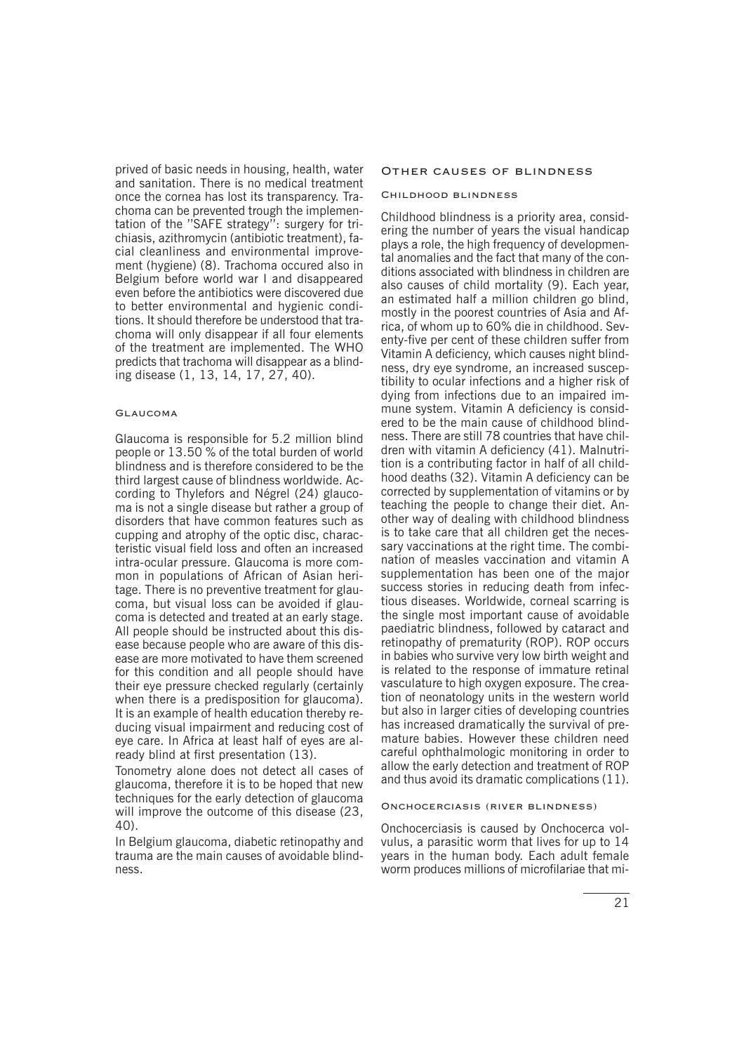prived of basic needs in housing, health, water and sanitation. There is no medical treatment once the cornea has lost its transparency. Trachoma can be prevented trough the implementation of the ''SAFE strategy'': surgery for trichiasis, azithromycin (antibiotic treatment), facial cleanliness and environmental improvement (hygiene) (8). Trachoma occured also in Belgium before world war I and disappeared even before the antibiotics were discovered due to better environmental and hygienic conditions. It should therefore be understood that trachoma will only disappear if all four elements of the treatment are implemented. The WHO predicts that trachoma will disappear as a blinding disease (1, 13, 14, 17, 27, 40).

#### Glaucoma

Glaucoma is responsible for 5.2 million blind people or 13.50 % of the total burden of world blindness and is therefore considered to be the third largest cause of blindness worldwide. According to Thylefors and Négrel (24) glaucoma is not a single disease but rather a group of disorders that have common features such as cupping and atrophy of the optic disc, characteristic visual field loss and often an increased intra-ocular pressure. Glaucoma is more common in populations of African of Asian heritage. There is no preventive treatment for glaucoma, but visual loss can be avoided if glaucoma is detected and treated at an early stage. All people should be instructed about this disease because people who are aware of this disease are more motivated to have them screened for this condition and all people should have their eye pressure checked regularly (certainly when there is a predisposition for glaucoma). It is an example of health education thereby reducing visual impairment and reducing cost of eye care. In Africa at least half of eyes are already blind at first presentation (13).

Tonometry alone does not detect all cases of glaucoma, therefore it is to be hoped that new techniques for the early detection of glaucoma will improve the outcome of this disease (23, 40).

In Belgium glaucoma, diabetic retinopathy and trauma are the main causes of avoidable blindness.

#### Other causes of blindness

#### Childhood blindness

Childhood blindness is a priority area, considering the number of years the visual handicap plays a role, the high frequency of developmental anomalies and the fact that many of the conditions associated with blindness in children are also causes of child mortality (9). Each year, an estimated half a million children go blind, mostly in the poorest countries of Asia and Africa, of whom up to 60% die in childhood. Seventy-five per cent of these children suffer from Vitamin A deficiency, which causes night blindness, dry eye syndrome, an increased susceptibility to ocular infections and a higher risk of dying from infections due to an impaired immune system. Vitamin A deficiency is considered to be the main cause of childhood blindness. There are still 78 countries that have children with vitamin A deficiency (41). Malnutrition is a contributing factor in half of all childhood deaths (32). Vitamin A deficiency can be corrected by supplementation of vitamins or by teaching the people to change their diet. Another way of dealing with childhood blindness is to take care that all children get the necessary vaccinations at the right time. The combination of measles vaccination and vitamin A supplementation has been one of the major success stories in reducing death from infectious diseases. Worldwide, corneal scarring is the single most important cause of avoidable paediatric blindness, followed by cataract and retinopathy of prematurity (ROP). ROP occurs in babies who survive very low birth weight and is related to the response of immature retinal vasculature to high oxygen exposure. The creation of neonatology units in the western world but also in larger cities of developing countries has increased dramatically the survival of premature babies. However these children need careful ophthalmologic monitoring in order to allow the early detection and treatment of ROP and thus avoid its dramatic complications (11).

#### Onchocerciasis (river blindness)

Onchocerciasis is caused by Onchocerca volvulus, a parasitic worm that lives for up to 14 years in the human body. Each adult female worm produces millions of microfilariae that mi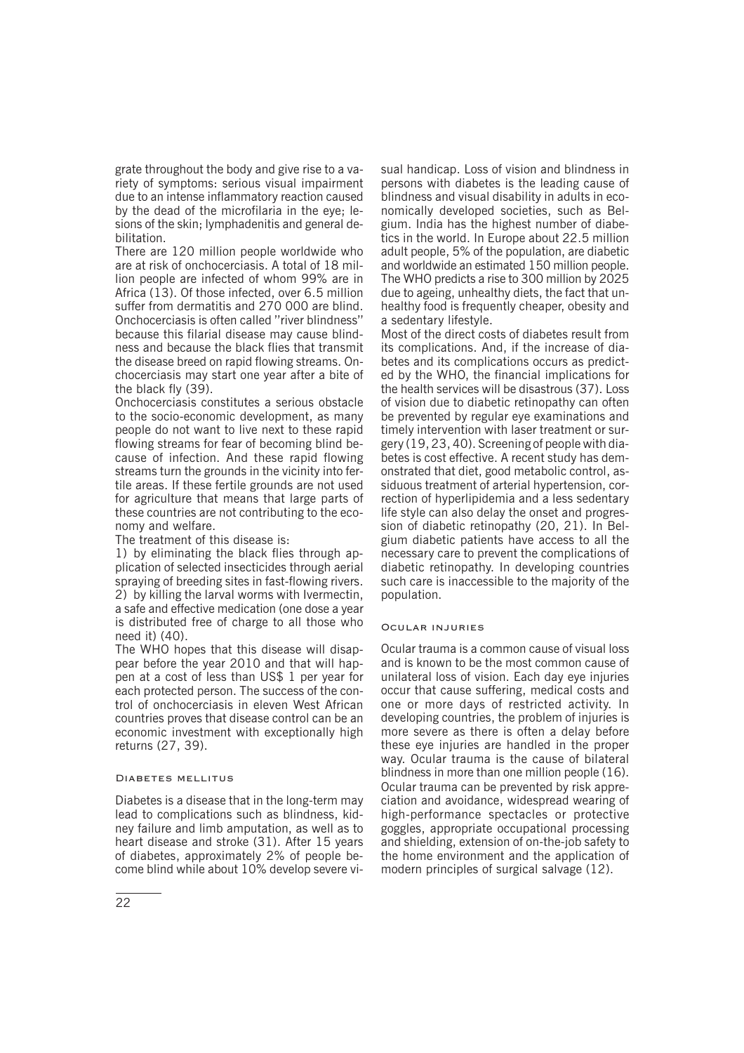grate throughout the body and give rise to a variety of symptoms: serious visual impairment due to an intense inflammatory reaction caused by the dead of the microfilaria in the eye; lesions of the skin; lymphadenitis and general debilitation.

There are 120 million people worldwide who are at risk of onchocerciasis. A total of 18 million people are infected of whom 99% are in Africa (13). Of those infected, over 6.5 million suffer from dermatitis and 270 000 are blind. Onchocerciasis is often called ''river blindness'' because this filarial disease may cause blindness and because the black flies that transmit the disease breed on rapid flowing streams. Onchocerciasis may start one year after a bite of the black fly (39).

Onchocerciasis constitutes a serious obstacle to the socio-economic development, as many people do not want to live next to these rapid flowing streams for fear of becoming blind because of infection. And these rapid flowing streams turn the grounds in the vicinity into fertile areas. If these fertile grounds are not used for agriculture that means that large parts of these countries are not contributing to the economy and welfare.

The treatment of this disease is:

1) by eliminating the black flies through application of selected insecticides through aerial spraying of breeding sites in fast-flowing rivers. 2) by killing the larval worms with Ivermectin, a safe and effective medication (one dose a year is distributed free of charge to all those who need it) (40).

The WHO hopes that this disease will disappear before the year 2010 and that will happen at a cost of less than US\$ 1 per year for each protected person. The success of the control of onchocerciasis in eleven West African countries proves that disease control can be an economic investment with exceptionally high returns (27, 39).

#### Diabetes mellitus

Diabetes is a disease that in the long-term may lead to complications such as blindness, kidney failure and limb amputation, as well as to heart disease and stroke (31). After 15 years of diabetes, approximately 2% of people become blind while about 10% develop severe visual handicap. Loss of vision and blindness in persons with diabetes is the leading cause of blindness and visual disability in adults in economically developed societies, such as Belgium. India has the highest number of diabetics in the world. In Europe about 22.5 million adult people, 5% of the population, are diabetic and worldwide an estimated 150 million people. The WHO predicts a rise to 300 million by 2025 due to ageing, unhealthy diets, the fact that unhealthy food is frequently cheaper, obesity and a sedentary lifestyle.

Most of the direct costs of diabetes result from its complications. And, if the increase of diabetes and its complications occurs as predicted by the WHO, the financial implications for the health services will be disastrous (37). Loss of vision due to diabetic retinopathy can often be prevented by regular eye examinations and timely intervention with laser treatment or surgery (19, 23, 40). Screening of people with diabetes is cost effective. A recent study has demonstrated that diet, good metabolic control, assiduous treatment of arterial hypertension, correction of hyperlipidemia and a less sedentary life style can also delay the onset and progression of diabetic retinopathy (20, 21). In Belgium diabetic patients have access to all the necessary care to prevent the complications of diabetic retinopathy. In developing countries such care is inaccessible to the majority of the population.

#### Ocular injuries

Ocular trauma is a common cause of visual loss and is known to be the most common cause of unilateral loss of vision. Each day eye injuries occur that cause suffering, medical costs and one or more days of restricted activity. In developing countries, the problem of injuries is more severe as there is often a delay before these eye injuries are handled in the proper way. Ocular trauma is the cause of bilateral blindness in more than one million people (16). Ocular trauma can be prevented by risk appreciation and avoidance, widespread wearing of high-performance spectacles or protective goggles, appropriate occupational processing and shielding, extension of on-the-job safety to the home environment and the application of modern principles of surgical salvage (12).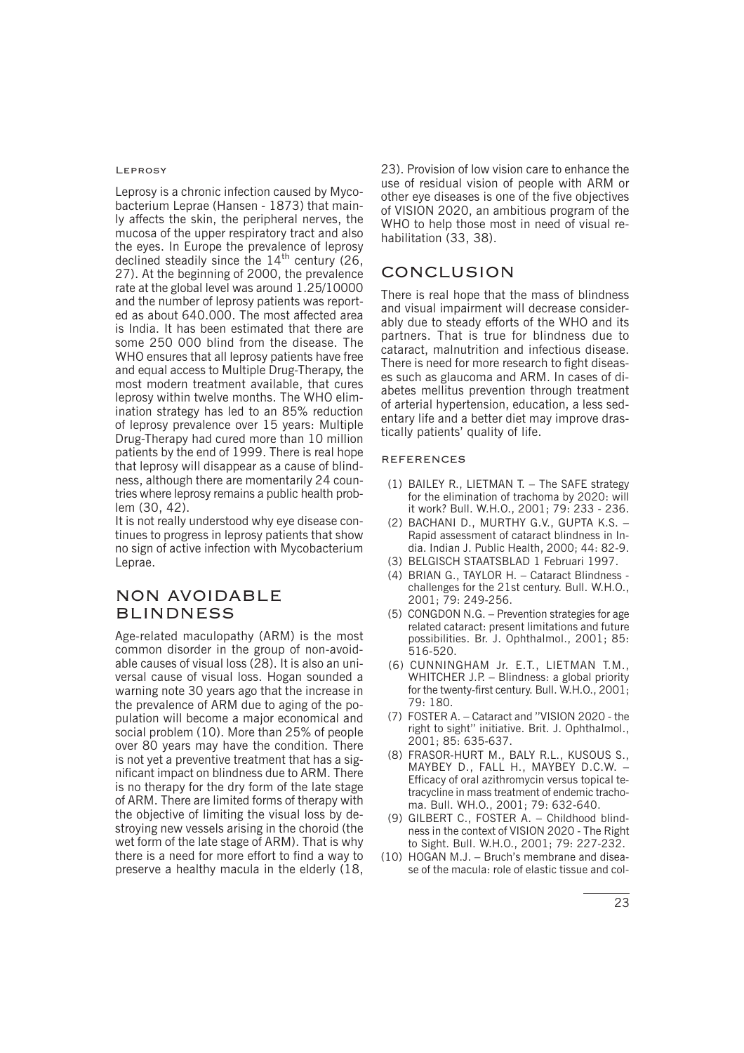#### Leprosy

Leprosy is a chronic infection caused by Mycobacterium Leprae (Hansen - 1873) that mainly affects the skin, the peripheral nerves, the mucosa of the upper respiratory tract and also the eyes. In Europe the prevalence of leprosy declined steadily since the  $14<sup>th</sup>$  century (26, 27). At the beginning of 2000, the prevalence rate at the global level was around 1.25/10000 and the number of leprosy patients was reported as about 640.000. The most affected area is India. It has been estimated that there are some 250 000 blind from the disease. The WHO ensures that all leprosy patients have free and equal access to Multiple Drug-Therapy, the most modern treatment available, that cures leprosy within twelve months. The WHO elimination strategy has led to an 85% reduction of leprosy prevalence over 15 years: Multiple Drug-Therapy had cured more than 10 million patients by the end of 1999. There is real hope that leprosy will disappear as a cause of blindness, although there are momentarily 24 countries where leprosy remains a public health problem (30, 42).

It is not really understood why eye disease continues to progress in leprosy patients that show no sign of active infection with Mycobacterium Leprae.

# NON AVOIDABLE BLINDNESS

Age-related maculopathy (ARM) is the most common disorder in the group of non-avoidable causes of visual loss (28). It is also an universal cause of visual loss. Hogan sounded a warning note 30 years ago that the increase in the prevalence of ARM due to aging of the population will become a major economical and social problem (10). More than 25% of people over 80 years may have the condition. There is not yet a preventive treatment that has a significant impact on blindness due to ARM. There is no therapy for the dry form of the late stage of ARM. There are limited forms of therapy with the objective of limiting the visual loss by destroying new vessels arising in the choroid (the wet form of the late stage of ARM). That is why there is a need for more effort to find a way to preserve a healthy macula in the elderly (18,

23). Provision of low vision care to enhance the use of residual vision of people with ARM or other eye diseases is one of the five objectives of VISION 2020, an ambitious program of the WHO to help those most in need of visual rehabilitation (33, 38).

# CONCLUSION

There is real hope that the mass of blindness and visual impairment will decrease considerably due to steady efforts of the WHO and its partners. That is true for blindness due to cataract, malnutrition and infectious disease. There is need for more research to fight diseases such as glaucoma and ARM. In cases of diabetes mellitus prevention through treatment of arterial hypertension, education, a less sedentary life and a better diet may improve drastically patients' quality of life.

#### REFERENCES

- (1) BAILEY R., LIETMAN T. − The SAFE strategy for the elimination of trachoma by 2020: will it work? Bull. W.H.O., 2001; 79: 233 - 236.
- (2) BACHANI D., MURTHY G.V., GUPTA K.S. − Rapid assessment of cataract blindness in India. Indian J. Public Health, 2000; 44: 82-9.
- (3) BELGISCH STAATSBLAD 1 Februari 1997.
- (4) BRIAN G., TAYLOR H. − Cataract Blindness challenges for the 21st century. Bull. W.H.O., 2001; 79: 249-256.
- (5) CONGDON N.G. − Prevention strategies for age related cataract: present limitations and future possibilities. Br. J. Ophthalmol., 2001; 85: 516-520.
- (6) CUNNINGHAM Jr. E.T., LIETMAN T.M., WHITCHER J.P. – Blindness: a global priority for the twenty-first century. Bull. W.H.O., 2001; 79: 180.
- (7) FOSTER A. − Cataract and ''VISION 2020 the right to sight'' initiative. Brit. J. Ophthalmol., 2001; 85: 635-637.
- (8) FRASOR-HURT M., BALY R.L., KUSOUS S., MAYBEY D., FALL H., MAYBEY D.C.W. − Efficacy of oral azithromycin versus topical tetracycline in mass treatment of endemic trachoma. Bull. WH.O., 2001; 79: 632-640.
- (9) GILBERT C., FOSTER A. − Childhood blindness in the context of VISION 2020 - The Right to Sight. Bull. W.H.O., 2001; 79: 227-232.
- (10) HOGAN M.J. − Bruch's membrane and disease of the macula: role of elastic tissue and col-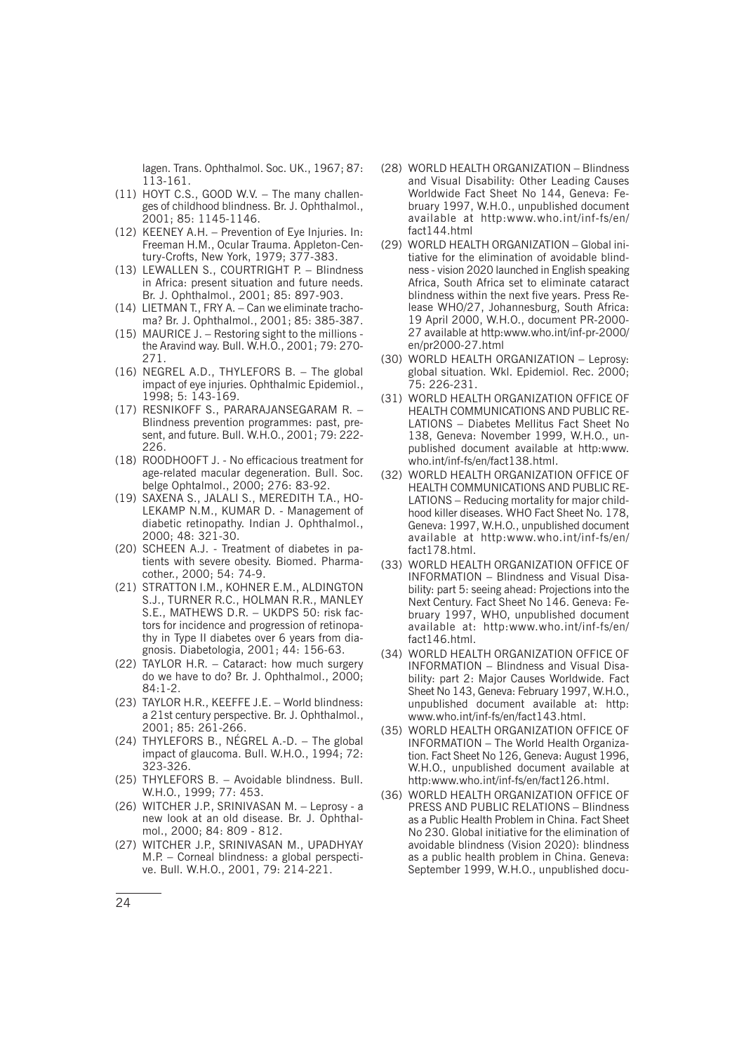lagen. Trans. Ophthalmol. Soc. UK., 1967; 87: 113-161.

- (11) HOYT C.S., GOOD W.V. The many challenges of childhood blindness. Br. J. Ophthalmol., 2001; 85: 1145-1146.
- (12) KEENEY A.H. − Prevention of Eye Injuries. In: Freeman H.M., Ocular Trauma. Appleton-Century-Crofts, New York, 1979; 377-383.
- (13) LEWALLEN S., COURTRIGHT P. Blindness in Africa: present situation and future needs. Br. J. Ophthalmol., 2001; 85: 897-903.
- (14) LIETMAN T., FRY A. Can we eliminate trachoma? Br. J. Ophthalmol., 2001; 85: 385-387.
- (15) MAURICE J. Restoring sight to the millions the Aravind way. Bull. W.H.O., 2001; 79: 270- 271.
- (16) NEGREL A.D., THYLEFORS B. The global impact of eye injuries. Ophthalmic Epidemiol., 1998; 5: 143-169.
- (17) RESNIKOFF S., PARARAJANSEGARAM R. − Blindness prevention programmes: past, present, and future. Bull. W.H.O., 2001; 79: 222- 226.
- (18) ROODHOOFT J. No efficacious treatment for age-related macular degeneration. Bull. Soc. belge Ophtalmol., 2000; 276: 83-92.
- (19) SAXENA S., JALALI S., MEREDITH T.A., HO-LEKAMP N.M., KUMAR D. - Management of diabetic retinopathy. Indian J. Ophthalmol., 2000; 48: 321-30.
- (20) SCHEEN A.J. Treatment of diabetes in patients with severe obesity. Biomed. Pharmacother., 2000; 54: 74-9.
- (21) STRATTON I.M., KOHNER E.M., ALDINGTON S.J., TURNER R.C., HOLMAN R.R., MANLEY S.E., MATHEWS D.R. - UKDPS 50: risk factors for incidence and progression of retinopathy in Type II diabetes over 6 years from diagnosis. Diabetologia, 2001; 44: 156-63.
- (22) TAYLOR H.R. Cataract: how much surgery do we have to do? Br. J. Ophthalmol., 2000; 84:1-2.
- (23) TAYLOR H.R., KEEFFE J.E. − World blindness: a 21st century perspective. Br. J. Ophthalmol., 2001; 85: 261-266.
- (24) THYLEFORS B., NÉGREL A.-D. − The global impact of glaucoma. Bull. W.H.O., 1994; 72: 323-326.
- (25) THYLEFORS B. Avoidable blindness. Bull. W.H.O., 1999; 77: 453.
- (26) WITCHER J.P., SRINIVASAN M. − Leprosy a new look at an old disease. Br. J. Ophthalmol., 2000; 84: 809 - 812.
- (27) WITCHER J.P., SRINIVASAN M., UPADHYAY M.P. − Corneal blindness: a global perspective. Bull. W.H.O., 2001, 79: 214-221.
- (28) WORLD HEALTH ORGANIZATION − Blindness and Visual Disability: Other Leading Causes Worldwide Fact Sheet No 144, Geneva: February 1997, W.H.0., unpublished document available at http:www.who.int/inf-fs/en/ fact144.html
- (29) WORLD HEALTH ORGANIZATION Global initiative for the elimination of avoidable blindness - vision 2020 launched in English speaking Africa, South Africa set to eliminate cataract blindness within the next five years. Press Release WHO/27, Johannesburg, South Africa: 19 April 2000, W.H.O., document PR-2000- 27 available at http:www.who.int/inf-pr-2000/ en/pr2000-27.html
- (30) WORLD HEALTH ORGANIZATION − Leprosy: global situation. Wkl. Epidemiol. Rec. 2000; 75: 226-231.
- (31) WORLD HEALTH ORGANIZATION OFFICE OF HEALTH COMMUNICATIONS AND PUBLIC RE-LATIONS − Diabetes Mellitus Fact Sheet No 138, Geneva: November 1999, W.H.O., unpublished document available at http:www. who.int/inf-fs/en/fact138.html.
- (32) WORLD HEALTH ORGANIZATION OFFICE OF HEALTH COMMUNICATIONS AND PUBLIC RE-LATIONS – Reducing mortality for major childhood killer diseases. WHO Fact Sheet No. 178, Geneva: 1997, W.H.O., unpublished document available at http:www.who.int/inf-fs/en/ fact178.html.
- (33) WORLD HEALTH ORGANIZATION OFFICE OF INFORMATION - Blindness and Visual Disability: part 5: seeing ahead: Projections into the Next Century. Fact Sheet No 146. Geneva: February 1997, WHO, unpublished document available at: http:www.who.int/inf-fs/en/  $fact146.html$
- (34) WORLD HEALTH ORGANIZATION OFFICE OF INFORMATION - Blindness and Visual Disability: part 2: Major Causes Worldwide. Fact Sheet No 143, Geneva: February 1997, W.H.O., unpublished document available at: http: www.who.int/inf-fs/en/fact143.html.
- (35) WORLD HEALTH ORGANIZATION OFFICE OF INFORMATION − The World Health Organization. Fact Sheet No 126, Geneva: August 1996, W.H.O., unpublished document available at http:www.who.int/inf-fs/en/fact126.html.
- (36) WORLD HEALTH ORGANIZATION OFFICE OF PRESS AND PUBLIC RELATIONS – Blindness as a Public Health Problem in China. Fact Sheet No 230. Global initiative for the elimination of avoidable blindness (Vision 2020): blindness as a public health problem in China. Geneva: September 1999, W.H.O., unpublished docu-